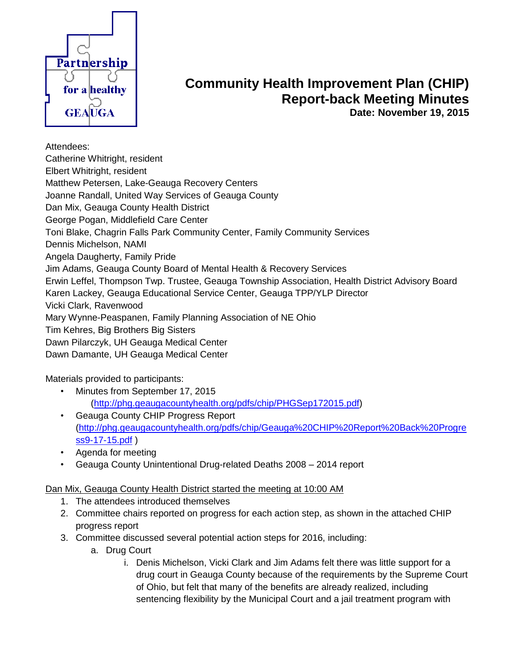

## **Community Health Improvement Plan (CHIP) Report-back Meeting Minutes**

**Date: November 19, 2015**

Attendees:

Catherine Whitright, resident Elbert Whitright, resident Matthew Petersen, Lake-Geauga Recovery Centers Joanne Randall, United Way Services of Geauga County Dan Mix, Geauga County Health District George Pogan, Middlefield Care Center Toni Blake, Chagrin Falls Park Community Center, Family Community Services Dennis Michelson, NAMI Angela Daugherty, Family Pride Jim Adams, Geauga County Board of Mental Health & Recovery Services Erwin Leffel, Thompson Twp. Trustee, Geauga Township Association, Health District Advisory Board Karen Lackey, Geauga Educational Service Center, Geauga TPP/YLP Director Vicki Clark, Ravenwood Mary Wynne-Peaspanen, Family Planning Association of NE Ohio Tim Kehres, Big Brothers Big Sisters Dawn Pilarczyk, UH Geauga Medical Center Dawn Damante, UH Geauga Medical Center

Materials provided to participants:

- Minutes from September 17, 2015 [\(http://phg.geaugacountyhealth.org/pdfs/chip/PHGSep172015.pdf\)](http://phg.geaugacountyhealth.org/pdfs/chip/PHGSep172015.pdf)
- Geauga County CHIP Progress Report [\(http://phg.geaugacountyhealth.org/pdfs/chip/Geauga%20CHIP%20Report%20Back%20Progre](http://phg.geaugacountyhealth.org/pdfs/chip/Geauga%20CHIP%20Report%20Back%20Progress9-17-15.pdf) [ss9-17-15.pdf](http://phg.geaugacountyhealth.org/pdfs/chip/Geauga%20CHIP%20Report%20Back%20Progress9-17-15.pdf) )
- Agenda for meeting
- Geauga County Unintentional Drug-related Deaths 2008 2014 report

## Dan Mix, Geauga County Health District started the meeting at 10:00 AM

- 1. The attendees introduced themselves
- 2. Committee chairs reported on progress for each action step, as shown in the attached CHIP progress report
- 3. Committee discussed several potential action steps for 2016, including:
	- a. Drug Court
		- i. Denis Michelson, Vicki Clark and Jim Adams felt there was little support for a drug court in Geauga County because of the requirements by the Supreme Court of Ohio, but felt that many of the benefits are already realized, including sentencing flexibility by the Municipal Court and a jail treatment program with